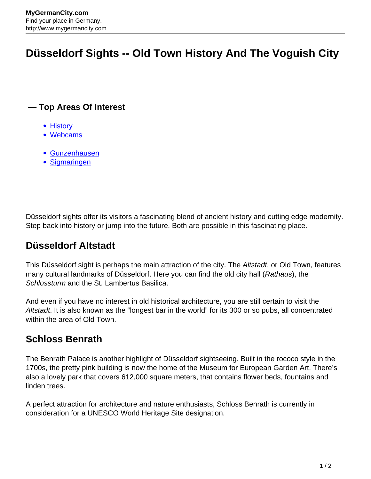# **Düsseldorf Sights -- Old Town History And The Voguish City**

#### **— Top Areas Of Interest**

- [History](http://www.mygermancity.com/leipzig-history)
- [Webcams](http://www.mygermancity.com/neustadt-holstein-webcams)
- [Gunzenhausen](http://www.mygermancity.com/gunzenhausen)
- [Sigmaringen](http://www.mygermancity.com/sigmaringen)

Düsseldorf sights offer its visitors a fascinating blend of ancient history and cutting edge modernity. Step back into history or jump into the future. Both are possible in this fascinating place.

### **Düsseldorf Altstadt**

This Düsseldorf sight is perhaps the main attraction of the city. The Altstadt, or Old Town, features many cultural landmarks of Düsseldorf. Here you can find the old city hall (Rathaus), the Schlossturm and the St. Lambertus Basilica.

And even if you have no interest in old historical architecture, you are still certain to visit the Altstadt. It is also known as the "longest bar in the world" for its 300 or so pubs, all concentrated within the area of Old Town.

### **Schloss Benrath**

The Benrath Palace is another highlight of Düsseldorf sightseeing. Built in the rococo style in the 1700s, the pretty pink building is now the home of the Museum for European Garden Art. There's also a lovely park that covers 612,000 square meters, that contains flower beds, fountains and linden trees.

A perfect attraction for architecture and nature enthusiasts, Schloss Benrath is currently in consideration for a UNESCO World Heritage Site designation.